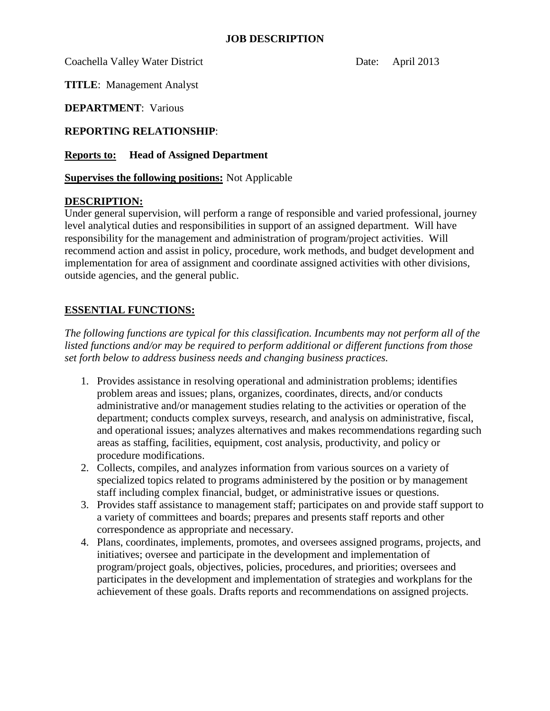## **JOB DESCRIPTION**

Coachella Valley Water District Date: April 2013

**TITLE**: Management Analyst

**DEPARTMENT**: Various

**REPORTING RELATIONSHIP**:

**Reports to: Head of Assigned Department** 

**Supervises the following positions:** Not Applicable

## **DESCRIPTION:**

Under general supervision, will perform a range of responsible and varied professional, journey level analytical duties and responsibilities in support of an assigned department. Will have responsibility for the management and administration of program/project activities. Will recommend action and assist in policy, procedure, work methods, and budget development and implementation for area of assignment and coordinate assigned activities with other divisions, outside agencies, and the general public.

## **ESSENTIAL FUNCTIONS:**

*The following functions are typical for this classification. Incumbents may not perform all of the listed functions and/or may be required to perform additional or different functions from those set forth below to address business needs and changing business practices.*

- 1. Provides assistance in resolving operational and administration problems; identifies problem areas and issues; plans, organizes, coordinates, directs, and/or conducts administrative and/or management studies relating to the activities or operation of the department; conducts complex surveys, research, and analysis on administrative, fiscal, and operational issues; analyzes alternatives and makes recommendations regarding such areas as staffing, facilities, equipment, cost analysis, productivity, and policy or procedure modifications.
- 2. Collects, compiles, and analyzes information from various sources on a variety of specialized topics related to programs administered by the position or by management staff including complex financial, budget, or administrative issues or questions.
- 3. Provides staff assistance to management staff; participates on and provide staff support to a variety of committees and boards; prepares and presents staff reports and other correspondence as appropriate and necessary.
- 4. Plans, coordinates, implements, promotes, and oversees assigned programs, projects, and initiatives; oversee and participate in the development and implementation of program/project goals, objectives, policies, procedures, and priorities; oversees and participates in the development and implementation of strategies and workplans for the achievement of these goals. Drafts reports and recommendations on assigned projects.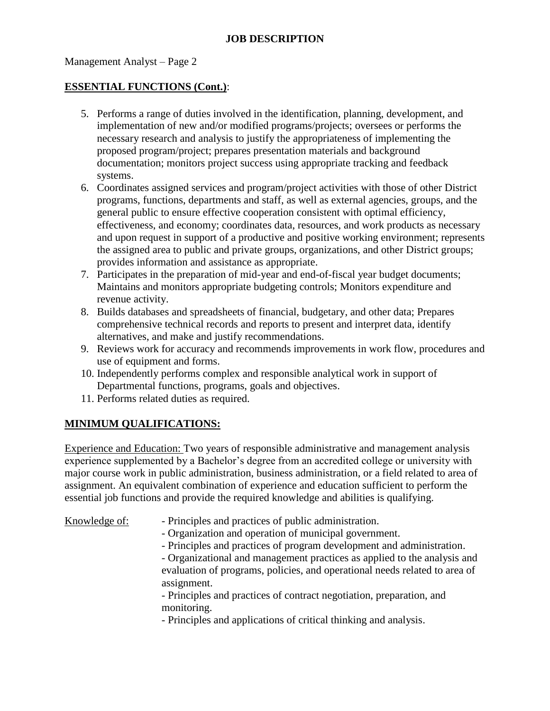## Management Analyst – Page 2

## **ESSENTIAL FUNCTIONS (Cont.)**:

- 5. Performs a range of duties involved in the identification, planning, development, and implementation of new and/or modified programs/projects; oversees or performs the necessary research and analysis to justify the appropriateness of implementing the proposed program/project; prepares presentation materials and background documentation; monitors project success using appropriate tracking and feedback systems.
- 6. Coordinates assigned services and program/project activities with those of other District programs, functions, departments and staff, as well as external agencies, groups, and the general public to ensure effective cooperation consistent with optimal efficiency, effectiveness, and economy; coordinates data, resources, and work products as necessary and upon request in support of a productive and positive working environment; represents the assigned area to public and private groups, organizations, and other District groups; provides information and assistance as appropriate.
- 7. Participates in the preparation of mid-year and end-of-fiscal year budget documents; Maintains and monitors appropriate budgeting controls; Monitors expenditure and revenue activity.
- 8. Builds databases and spreadsheets of financial, budgetary, and other data; Prepares comprehensive technical records and reports to present and interpret data, identify alternatives, and make and justify recommendations.
- 9. Reviews work for accuracy and recommends improvements in work flow, procedures and use of equipment and forms.
- 10. Independently performs complex and responsible analytical work in support of Departmental functions, programs, goals and objectives.
- 11. Performs related duties as required.

## **MINIMUM QUALIFICATIONS:**

Experience and Education: Two years of responsible administrative and management analysis experience supplemented by a Bachelor's degree from an accredited college or university with major course work in public administration, business administration, or a field related to area of assignment. An equivalent combination of experience and education sufficient to perform the essential job functions and provide the required knowledge and abilities is qualifying.

Knowledge of: - Principles and practices of public administration. - Organization and operation of municipal government. - Principles and practices of program development and administration. - Organizational and management practices as applied to the analysis and evaluation of programs, policies, and operational needs related to area of assignment. - Principles and practices of contract negotiation, preparation, and monitoring. - Principles and applications of critical thinking and analysis.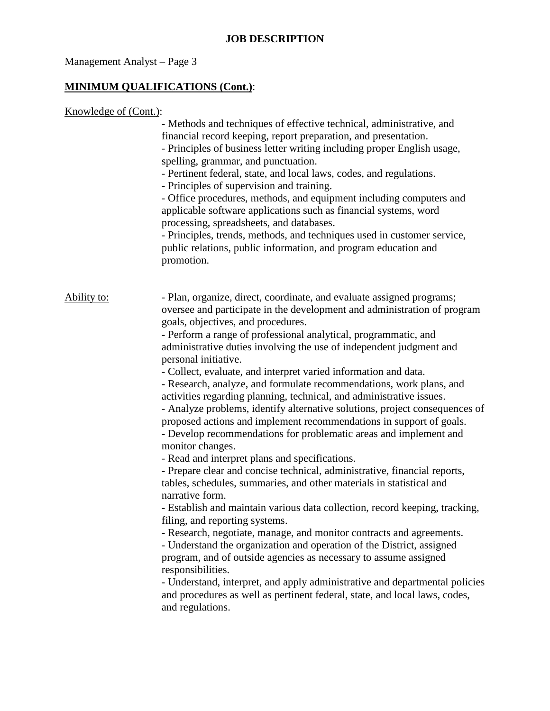## **JOB DESCRIPTION**

# Management Analyst – Page 3

# **MINIMUM QUALIFICATIONS (Cont.)**:

| Knowledge of (Cont.): |                                                                                                                                                                                                                                                                                                                                                                                                                                                                                                                                                                                                                                                                                                                                                                                                                                                                                                                                                                                                                                                                                                                                                                                                                                                                                                                                                                                                                                                                                                                                                                                                  |
|-----------------------|--------------------------------------------------------------------------------------------------------------------------------------------------------------------------------------------------------------------------------------------------------------------------------------------------------------------------------------------------------------------------------------------------------------------------------------------------------------------------------------------------------------------------------------------------------------------------------------------------------------------------------------------------------------------------------------------------------------------------------------------------------------------------------------------------------------------------------------------------------------------------------------------------------------------------------------------------------------------------------------------------------------------------------------------------------------------------------------------------------------------------------------------------------------------------------------------------------------------------------------------------------------------------------------------------------------------------------------------------------------------------------------------------------------------------------------------------------------------------------------------------------------------------------------------------------------------------------------------------|
|                       | - Methods and techniques of effective technical, administrative, and<br>financial record keeping, report preparation, and presentation.<br>- Principles of business letter writing including proper English usage,<br>spelling, grammar, and punctuation.<br>- Pertinent federal, state, and local laws, codes, and regulations.<br>- Principles of supervision and training.<br>- Office procedures, methods, and equipment including computers and<br>applicable software applications such as financial systems, word<br>processing, spreadsheets, and databases.<br>- Principles, trends, methods, and techniques used in customer service,<br>public relations, public information, and program education and<br>promotion.                                                                                                                                                                                                                                                                                                                                                                                                                                                                                                                                                                                                                                                                                                                                                                                                                                                                 |
| <u>Ability</u> to:    | - Plan, organize, direct, coordinate, and evaluate assigned programs;<br>oversee and participate in the development and administration of program<br>goals, objectives, and procedures.<br>- Perform a range of professional analytical, programmatic, and<br>administrative duties involving the use of independent judgment and<br>personal initiative.<br>- Collect, evaluate, and interpret varied information and data.<br>- Research, analyze, and formulate recommendations, work plans, and<br>activities regarding planning, technical, and administrative issues.<br>- Analyze problems, identify alternative solutions, project consequences of<br>proposed actions and implement recommendations in support of goals.<br>- Develop recommendations for problematic areas and implement and<br>monitor changes.<br>- Read and interpret plans and specifications.<br>- Prepare clear and concise technical, administrative, financial reports,<br>tables, schedules, summaries, and other materials in statistical and<br>narrative form.<br>- Establish and maintain various data collection, record keeping, tracking,<br>filing, and reporting systems.<br>- Research, negotiate, manage, and monitor contracts and agreements.<br>- Understand the organization and operation of the District, assigned<br>program, and of outside agencies as necessary to assume assigned<br>responsibilities.<br>- Understand, interpret, and apply administrative and departmental policies<br>and procedures as well as pertinent federal, state, and local laws, codes,<br>and regulations. |